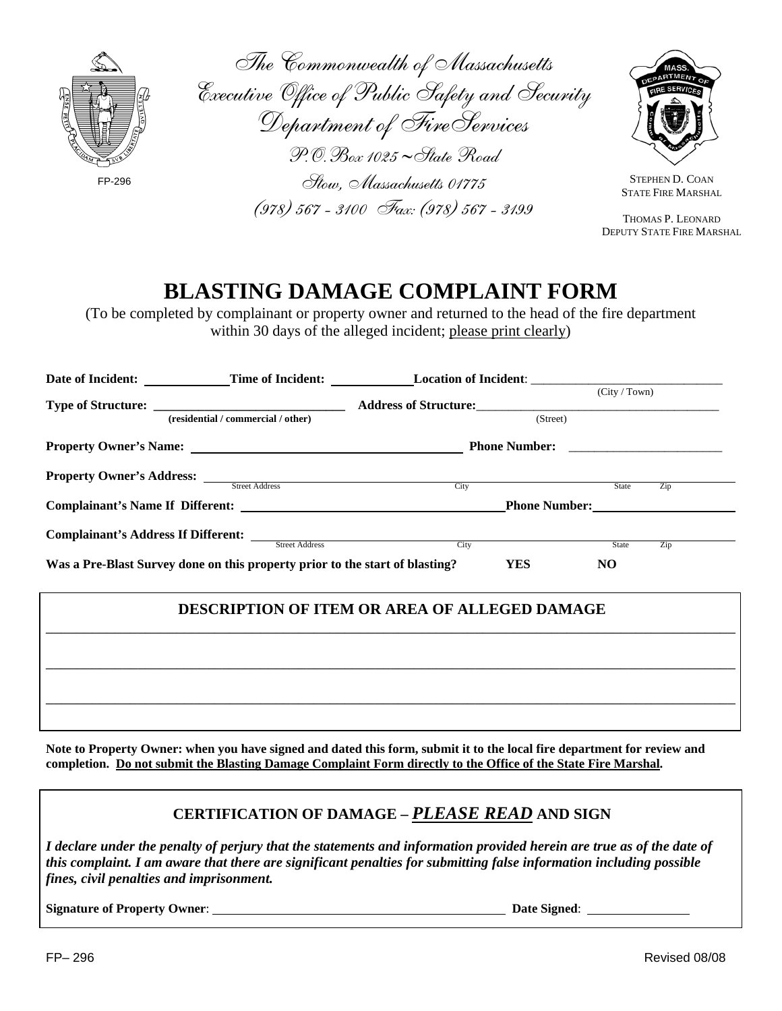

| The Commonwealth of Massachusetts              |
|------------------------------------------------|
| Executive Office of Public Safety and Security |
| Department of Fire Services                    |
| $P. O. Box$ 1025 ~ State Road                  |
| Stow, Massachusetts 01775                      |
| (978) 567 - 3100 Fax: (978) 567 - 3199         |



STEPHEN D. COAN STATE FIRE MARSHAL

 THOMAS P. LEONARD DEPUTY STATE FIRE MARSHAL

## **BLASTING DAMAGE COMPLAINT FORM**

(To be completed by complainant or property owner and returned to the head of the fire department within 30 days of the alleged incident; please print clearly)

|                                                                              |                                    | Date of Incident: Time of Incident: Location of Incident: |                           |
|------------------------------------------------------------------------------|------------------------------------|-----------------------------------------------------------|---------------------------|
|                                                                              | (residential / commercial / other) | Address of Structure:                                     | (City / Town)<br>(Street) |
|                                                                              |                                    | <b>Phone Number:</b>                                      |                           |
| <b>Property Owner's Address:</b> Street Address                              |                                    | City                                                      | Zip<br><b>State</b>       |
|                                                                              |                                    |                                                           | <b>Phone Number:</b>      |
| Complainant's Address If Different:                                          | <b>Street Address</b>              | City                                                      | <b>State</b><br>Zip       |
| Was a Pre-Blast Survey done on this property prior to the start of blasting? |                                    | YES                                                       | NO                        |

## **DESCRIPTION OF ITEM OR AREA OF ALLEGED DAMAGE**

**Note to Property Owner: when you have signed and dated this form, submit it to the local fire department for review and completion. Do not submit the Blasting Damage Complaint Form directly to the Office of the State Fire Marshal.** 

## **CERTIFICATION OF DAMAGE –** *PLEASE READ* **AND SIGN**

*I declare under the penalty of perjury that the statements and information provided herein are true as of the date of this complaint. I am aware that there are significant penalties for submitting false information including possible fines, civil penalties and imprisonment.*

**Signature of Property Owner**: **Date Signed**: